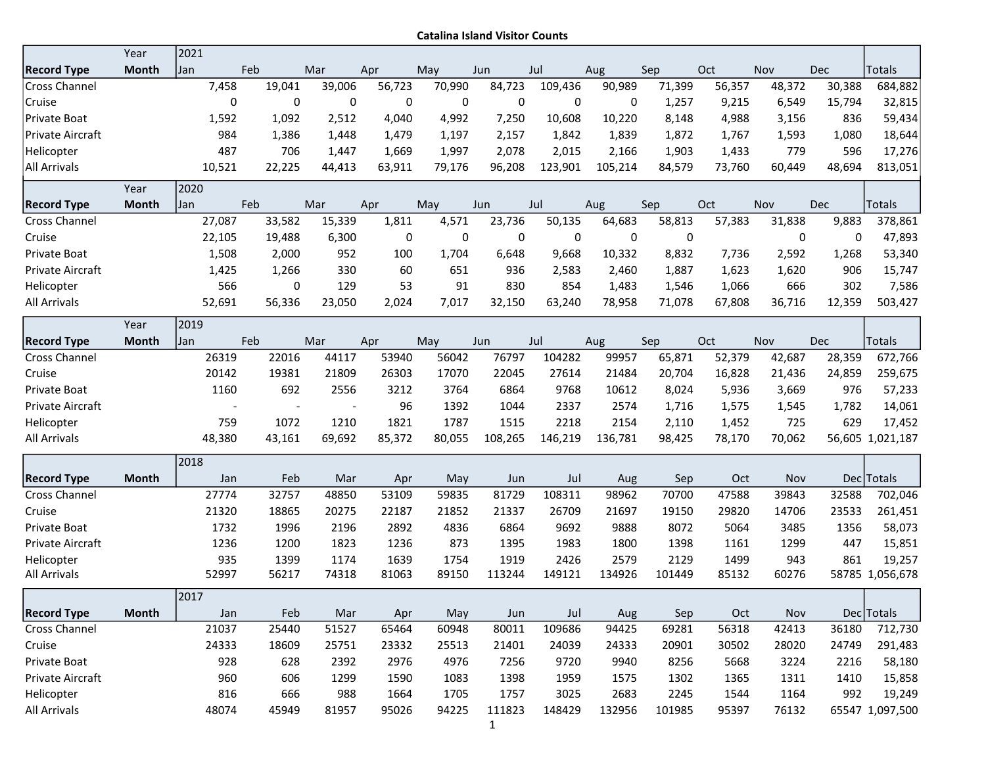Catalina Island Visitor Counts

|                      | Year         | 2021 |        |        |                          |           |        |         |         |             |        |        |        |            |                  |
|----------------------|--------------|------|--------|--------|--------------------------|-----------|--------|---------|---------|-------------|--------|--------|--------|------------|------------------|
| <b>Record Type</b>   | <b>Month</b> | Jan  | Feb    |        | Mar                      | Apr       | May    | Jun     | Jul     | Aug         | Sep    | Oct    | Nov    | Dec        | <b>Totals</b>    |
| Cross Channel        |              |      | 7,458  | 19,041 | 39,006                   | 56,723    | 70,990 | 84,723  | 109,436 | 90,989      | 71,399 | 56,357 | 48,372 | 30,388     | 684,882          |
| Cruise               |              |      | 0      | 0      | 0                        | $\pmb{0}$ | 0      | 0       | 0       | 0           | 1,257  | 9,215  | 6,549  | 15,794     | 32,815           |
| Private Boat         |              |      | 1,592  | 1,092  | 2,512                    | 4,040     | 4,992  | 7,250   | 10,608  | 10,220      | 8,148  | 4,988  | 3,156  | 836        | 59,434           |
| Private Aircraft     |              |      | 984    | 1,386  | 1,448                    | 1,479     | 1,197  | 2,157   | 1,842   | 1,839       | 1,872  | 1,767  | 1,593  | 1,080      | 18,644           |
| Helicopter           |              |      | 487    | 706    | 1,447                    | 1,669     | 1,997  | 2,078   | 2,015   | 2,166       | 1,903  | 1,433  | 779    | 596        | 17,276           |
| All Arrivals         |              |      | 10,521 | 22,225 | 44,413                   | 63,911    | 79,176 | 96,208  | 123,901 | 105,214     | 84,579 | 73,760 | 60,449 | 48,694     | 813,051          |
|                      | Year         | 2020 |        |        |                          |           |        |         |         |             |        |        |        |            |                  |
| <b>Record Type</b>   | <b>Month</b> | Jan  | Feb    |        | Mar                      | Apr       | May    | Jun     | Jul     | Aug         | Sep    | Oct    | Nov    | <b>Dec</b> | Totals           |
| <b>Cross Channel</b> |              |      | 27,087 | 33,582 | 15,339                   | 1,811     | 4,571  | 23,736  | 50,135  | 64,683      | 58,813 | 57,383 | 31,838 | 9,883      | 378,861          |
| Cruise               |              |      | 22,105 | 19,488 | 6,300                    | 0         | 0      | 0       | 0       | $\mathbf 0$ | 0      |        | 0      | 0          | 47,893           |
| Private Boat         |              |      | 1,508  | 2,000  | 952                      | 100       | 1,704  | 6,648   | 9,668   | 10,332      | 8,832  | 7,736  | 2,592  | 1,268      | 53,340           |
| Private Aircraft     |              |      | 1,425  | 1,266  | 330                      | 60        | 651    | 936     | 2,583   | 2,460       | 1,887  | 1,623  | 1,620  | 906        | 15,747           |
| Helicopter           |              |      | 566    | 0      | 129                      | 53        | 91     | 830     | 854     | 1,483       | 1,546  | 1,066  | 666    | 302        | 7,586            |
| All Arrivals         |              |      | 52,691 | 56,336 | 23,050                   | 2,024     | 7,017  | 32,150  | 63,240  | 78,958      | 71,078 | 67,808 | 36,716 | 12,359     | 503,427          |
|                      | Year         | 2019 |        |        |                          |           |        |         |         |             |        |        |        |            |                  |
| <b>Record Type</b>   | <b>Month</b> | Jan  | Feb    |        | Mar                      | Apr       | May    | Jun     | Jul     | Aug         | Sep    | Oct    | Nov    | Dec        | Totals           |
| <b>Cross Channel</b> |              |      | 26319  | 22016  | 44117                    | 53940     | 56042  | 76797   | 104282  | 99957       | 65,871 | 52,379 | 42,687 | 28,359     | 672,766          |
| Cruise               |              |      | 20142  | 19381  | 21809                    | 26303     | 17070  | 22045   | 27614   | 21484       | 20,704 | 16,828 | 21,436 | 24,859     | 259,675          |
| Private Boat         |              |      | 1160   | 692    | 2556                     | 3212      | 3764   | 6864    | 9768    | 10612       | 8,024  | 5,936  | 3,669  | 976        | 57,233           |
| Private Aircraft     |              |      |        |        | $\overline{\phantom{a}}$ | 96        | 1392   | 1044    | 2337    | 2574        | 1,716  | 1,575  | 1,545  | 1,782      | 14,061           |
| Helicopter           |              |      | 759    | 1072   | 1210                     | 1821      | 1787   | 1515    | 2218    | 2154        | 2,110  | 1,452  | 725    | 629        | 17,452           |
| All Arrivals         |              |      | 48,380 | 43,161 | 69,692                   | 85,372    | 80,055 | 108,265 | 146,219 | 136,781     | 98,425 | 78,170 | 70,062 |            | 56,605 1,021,187 |
|                      |              | 2018 |        |        |                          |           |        |         |         |             |        |        |        |            |                  |
| <b>Record Type</b>   | Month        |      | Jan    | Feb    | Mar                      | Apr       | May    | Jun     | Jul     | Aug         | Sep    | Oct    | Nov    |            | Dec Totals       |
| Cross Channel        |              |      | 27774  | 32757  | 48850                    | 53109     | 59835  | 81729   | 108311  | 98962       | 70700  | 47588  | 39843  | 32588      | 702,046          |
| Cruise               |              |      | 21320  | 18865  | 20275                    | 22187     | 21852  | 21337   | 26709   | 21697       | 19150  | 29820  | 14706  | 23533      | 261,451          |
| Private Boat         |              |      | 1732   | 1996   | 2196                     | 2892      | 4836   | 6864    | 9692    | 9888        | 8072   | 5064   | 3485   | 1356       | 58,073           |
| Private Aircraft     |              |      | 1236   | 1200   | 1823                     | 1236      | 873    | 1395    | 1983    | 1800        | 1398   | 1161   | 1299   | 447        | 15,851           |
| Helicopter           |              |      | 935    | 1399   | 1174                     | 1639      | 1754   | 1919    | 2426    | 2579        | 2129   | 1499   | 943    | 861        | 19,257           |
| All Arrivals         |              |      | 52997  | 56217  | 74318                    | 81063     | 89150  | 113244  | 149121  | 134926      | 101449 | 85132  | 60276  |            | 58785 1,056,678  |
|                      |              | 2017 |        |        |                          |           |        |         |         |             |        |        |        |            |                  |
| <b>Record Type</b>   | Month        |      | Jan    | Feb    | Mar                      | Apr       | May    | Jun     | Jul     | Aug         | Sep    | Oct    | Nov    |            | Dec Totals       |
| Cross Channel        |              |      | 21037  | 25440  | 51527                    | 65464     | 60948  | 80011   | 109686  | 94425       | 69281  | 56318  | 42413  | 36180      | 712,730          |
| Cruise               |              |      | 24333  | 18609  | 25751                    | 23332     | 25513  | 21401   | 24039   | 24333       | 20901  | 30502  | 28020  | 24749      | 291,483          |
| Private Boat         |              |      | 928    | 628    | 2392                     | 2976      | 4976   | 7256    | 9720    | 9940        | 8256   | 5668   | 3224   | 2216       | 58,180           |
| Private Aircraft     |              |      | 960    | 606    | 1299                     | 1590      | 1083   | 1398    | 1959    | 1575        | 1302   | 1365   | 1311   | 1410       | 15,858           |
| Helicopter           |              |      | 816    | 666    | 988                      | 1664      | 1705   | 1757    | 3025    | 2683        | 2245   | 1544   | 1164   | 992        | 19,249           |
| All Arrivals         |              |      | 48074  | 45949  | 81957                    | 95026     | 94225  | 111823  | 148429  | 132956      | 101985 | 95397  | 76132  |            | 65547 1,097,500  |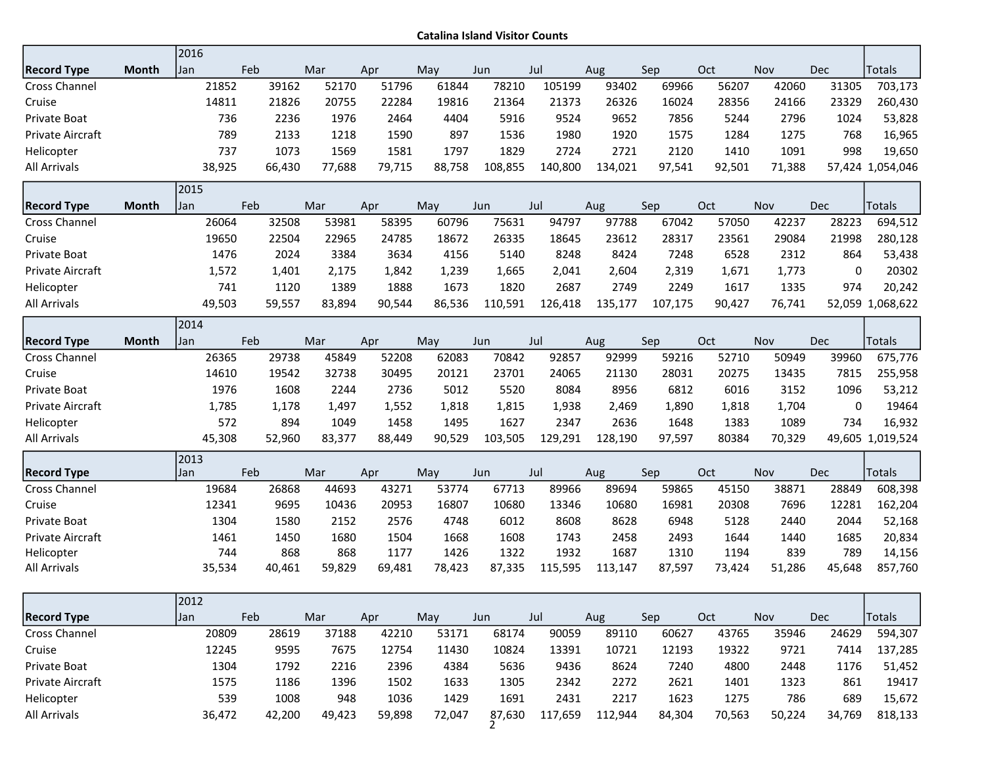Catalina Island Visitor Counts

|                      |              | 2016        |        |        |        |        |         |         |         |         |        |        |             |                  |
|----------------------|--------------|-------------|--------|--------|--------|--------|---------|---------|---------|---------|--------|--------|-------------|------------------|
| <b>Record Type</b>   | Month        | Jan         | Feb    | Mar    | Apr    | May    | Jun     | Jul     | Aug     | Sep     | Oct    | Nov    | <b>Dec</b>  | Totals           |
| Cross Channel        |              | 21852       | 39162  | 52170  | 51796  | 61844  | 78210   | 105199  | 93402   | 69966   | 56207  | 42060  | 31305       | 703,173          |
| Cruise               |              | 14811       | 21826  | 20755  | 22284  | 19816  | 21364   | 21373   | 26326   | 16024   | 28356  | 24166  | 23329       | 260,430          |
| Private Boat         |              | 736         | 2236   | 1976   | 2464   | 4404   | 5916    | 9524    | 9652    | 7856    | 5244   | 2796   | 1024        | 53,828           |
| Private Aircraft     |              | 789         | 2133   | 1218   | 1590   | 897    | 1536    | 1980    | 1920    | 1575    | 1284   | 1275   | 768         | 16,965           |
| Helicopter           |              | 737         | 1073   | 1569   | 1581   | 1797   | 1829    | 2724    | 2721    | 2120    | 1410   | 1091   | 998         | 19,650           |
| <b>All Arrivals</b>  |              | 38,925      | 66,430 | 77,688 | 79,715 | 88,758 | 108,855 | 140,800 | 134,021 | 97,541  | 92,501 | 71,388 |             | 57,424 1,054,046 |
|                      |              | 2015        |        |        |        |        |         |         |         |         |        |        |             |                  |
| <b>Record Type</b>   | <b>Month</b> | Jan         | Feb    | Mar    | Apr    | May    | Jun     | Jul     | Aug     | Sep     | Oct    | Nov    | <b>Dec</b>  | Totals           |
| Cross Channel        |              | 26064       | 32508  | 53981  | 58395  | 60796  | 75631   | 94797   | 97788   | 67042   | 57050  | 42237  | 28223       | 694,512          |
| Cruise               |              | 19650       | 22504  | 22965  | 24785  | 18672  | 26335   | 18645   | 23612   | 28317   | 23561  | 29084  | 21998       | 280,128          |
| Private Boat         |              | 1476        | 2024   | 3384   | 3634   | 4156   | 5140    | 8248    | 8424    | 7248    | 6528   | 2312   | 864         | 53,438           |
| Private Aircraft     |              | 1,572       | 1,401  | 2,175  | 1,842  | 1,239  | 1,665   | 2,041   | 2,604   | 2,319   | 1,671  | 1,773  | 0           | 20302            |
| Helicopter           |              | 741         | 1120   | 1389   | 1888   | 1673   | 1820    | 2687    | 2749    | 2249    | 1617   | 1335   | 974         | 20,242           |
| <b>All Arrivals</b>  |              | 49,503      | 59,557 | 83,894 | 90,544 | 86,536 | 110,591 | 126,418 | 135,177 | 107,175 | 90,427 | 76,741 |             | 52,059 1,068,622 |
|                      |              | 2014        |        |        |        |        |         |         |         |         |        |        |             |                  |
| <b>Record Type</b>   | <b>Month</b> | Jan         | Feb    | Mar    | Apr    | May    | Jun     | Jul     | Aug     | Sep     | Oct    | Nov    | Dec         | <b>Totals</b>    |
| <b>Cross Channel</b> |              | 26365       | 29738  | 45849  | 52208  | 62083  | 70842   | 92857   | 92999   | 59216   | 52710  | 50949  | 39960       | 675,776          |
| Cruise               |              | 14610       | 19542  | 32738  | 30495  | 20121  | 23701   | 24065   | 21130   | 28031   | 20275  | 13435  | 7815        | 255,958          |
| Private Boat         |              | 1976        | 1608   | 2244   | 2736   | 5012   | 5520    | 8084    | 8956    | 6812    | 6016   | 3152   | 1096        | 53,212           |
| Private Aircraft     |              | 1,785       | 1,178  | 1,497  | 1,552  | 1,818  | 1,815   | 1,938   | 2,469   | 1,890   | 1,818  | 1,704  | $\mathbf 0$ | 19464            |
| Helicopter           |              | 572         | 894    | 1049   | 1458   | 1495   | 1627    | 2347    | 2636    | 1648    | 1383   | 1089   | 734         | 16,932           |
| All Arrivals         |              | 45,308      | 52,960 | 83,377 | 88,449 | 90,529 | 103,505 | 129,291 | 128,190 | 97,597  | 80384  | 70,329 |             | 49,605 1,019,524 |
| <b>Record Type</b>   |              | 2013<br>Jan | Feb    | Mar    | Apr    | May    | Jun     | Jul     | Aug     | Sep     | Oct    | Nov    | Dec         | <b>Totals</b>    |
| <b>Cross Channel</b> |              | 19684       | 26868  | 44693  | 43271  | 53774  | 67713   | 89966   | 89694   | 59865   | 45150  | 38871  | 28849       | 608,398          |
| Cruise               |              | 12341       | 9695   | 10436  | 20953  | 16807  | 10680   | 13346   | 10680   | 16981   | 20308  | 7696   | 12281       | 162,204          |
| Private Boat         |              | 1304        | 1580   | 2152   | 2576   | 4748   | 6012    | 8608    | 8628    | 6948    | 5128   | 2440   | 2044        | 52,168           |
| Private Aircraft     |              | 1461        | 1450   | 1680   | 1504   | 1668   | 1608    | 1743    | 2458    | 2493    | 1644   | 1440   | 1685        | 20,834           |
|                      |              |             |        |        |        | 1426   | 1322    | 1932    | 1687    | 1310    | 1194   | 839    | 789         | 14,156           |
| Helicopter           |              | 744         | 868    | 868    | 1177   |        |         |         |         |         |        |        |             |                  |
| All Arrivals         |              | 35,534      | 40,461 | 59,829 | 69,481 | 78,423 | 87,335  | 115,595 | 113,147 | 87,597  | 73,424 | 51,286 | 45,648      | 857,760          |

|                         | LUIL   |        |        |        |        |        |         |         |        |        |            |        |         |
|-------------------------|--------|--------|--------|--------|--------|--------|---------|---------|--------|--------|------------|--------|---------|
| <b>Record Type</b>      | l Jan  | Feb    | Mar    | Apr    | May    | Jun    | Jul     | Aug     | Sep    | Oct    | <b>Nov</b> | Dec    | Totals  |
| <b>Cross Channel</b>    | 20809  | 28619  | 37188  | 42210  | 53171  | 68174  | 90059   | 89110   | 60627  | 43765  | 35946      | 24629  | 594,307 |
| Cruise                  | 12245  | 9595   | 7675   | 12754  | 11430  | 10824  | 13391   | 10721   | 12193  | 19322  | 9721       | 7414   | 137,285 |
| Private Boat            | 1304   | 1792   | 2216   | 2396   | 4384   | 5636   | 9436    | 8624    | 7240   | 4800   | 2448       | 1176   | 51,452  |
| <b>Private Aircraft</b> | 1575   | 1186   | 1396   | 1502   | 1633   | 1305   | 2342    | 2272    | 2621   | 1401   | 1323       | 861    | 19417   |
| Helicopter              | 539    | 1008   | 948    | 1036   | 1429   | 1691   | 2431    | 2217    | 1623   | 1275   | 786        | 689    | 15,672  |
| All Arrivals            | 36,472 | 42,200 | 49,423 | 59,898 | 72,047 | 87,630 | 117,659 | 112,944 | 84,304 | 70,563 | 50,224     | 34,769 | 818,133 |